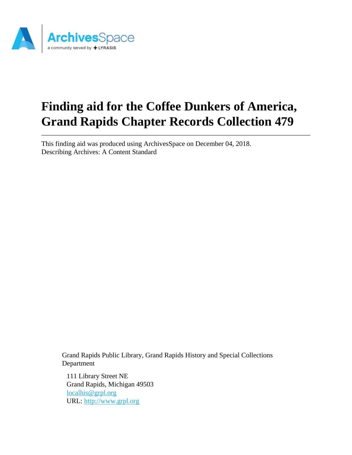

# **Finding aid for the Coffee Dunkers of America, Grand Rapids Chapter Records Collection 479**

This finding aid was produced using ArchivesSpace on December 04, 2018. Describing Archives: A Content Standard

Grand Rapids Public Library, Grand Rapids History and Special Collections Department

111 Library Street NE Grand Rapids, Michigan 49503 [localhis@grpl.org](mailto:localhis@grpl.org) URL:<http://www.grpl.org>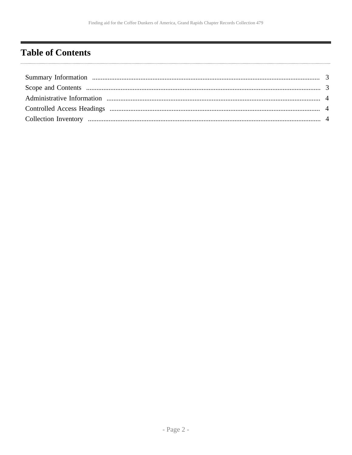# <span id="page-1-0"></span>**Table of Contents**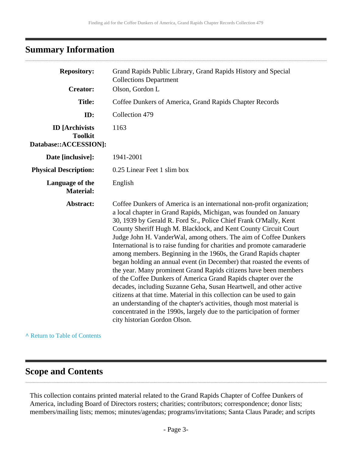## <span id="page-2-0"></span>**Summary Information**

| <b>Repository:</b>                                               | Grand Rapids Public Library, Grand Rapids History and Special<br><b>Collections Department</b>                                                                                                                                                                                                                                                                                                                                                                                                                                                                                                                                                                                                                                                                                                                                                                                                                                                                                                                                                         |  |  |
|------------------------------------------------------------------|--------------------------------------------------------------------------------------------------------------------------------------------------------------------------------------------------------------------------------------------------------------------------------------------------------------------------------------------------------------------------------------------------------------------------------------------------------------------------------------------------------------------------------------------------------------------------------------------------------------------------------------------------------------------------------------------------------------------------------------------------------------------------------------------------------------------------------------------------------------------------------------------------------------------------------------------------------------------------------------------------------------------------------------------------------|--|--|
| <b>Creator:</b>                                                  | Olson, Gordon L                                                                                                                                                                                                                                                                                                                                                                                                                                                                                                                                                                                                                                                                                                                                                                                                                                                                                                                                                                                                                                        |  |  |
| <b>Title:</b>                                                    | Coffee Dunkers of America, Grand Rapids Chapter Records                                                                                                                                                                                                                                                                                                                                                                                                                                                                                                                                                                                                                                                                                                                                                                                                                                                                                                                                                                                                |  |  |
| ID:                                                              | Collection 479                                                                                                                                                                                                                                                                                                                                                                                                                                                                                                                                                                                                                                                                                                                                                                                                                                                                                                                                                                                                                                         |  |  |
| <b>ID</b> [Archivists<br><b>Toolkit</b><br>Database::ACCESSION]: | 1163                                                                                                                                                                                                                                                                                                                                                                                                                                                                                                                                                                                                                                                                                                                                                                                                                                                                                                                                                                                                                                                   |  |  |
| Date [inclusive]:                                                | 1941-2001                                                                                                                                                                                                                                                                                                                                                                                                                                                                                                                                                                                                                                                                                                                                                                                                                                                                                                                                                                                                                                              |  |  |
| <b>Physical Description:</b>                                     | 0.25 Linear Feet 1 slim box                                                                                                                                                                                                                                                                                                                                                                                                                                                                                                                                                                                                                                                                                                                                                                                                                                                                                                                                                                                                                            |  |  |
| Language of the<br><b>Material:</b>                              | English                                                                                                                                                                                                                                                                                                                                                                                                                                                                                                                                                                                                                                                                                                                                                                                                                                                                                                                                                                                                                                                |  |  |
| Abstract:                                                        | Coffee Dunkers of America is an international non-profit organization;<br>a local chapter in Grand Rapids, Michigan, was founded on January<br>30, 1939 by Gerald R. Ford Sr., Police Chief Frank O'Mally, Kent<br>County Sheriff Hugh M. Blacklock, and Kent County Circuit Court<br>Judge John H. VanderWal, among others. The aim of Coffee Dunkers<br>International is to raise funding for charities and promote camaraderie<br>among members. Beginning in the 1960s, the Grand Rapids chapter<br>began holding an annual event (in December) that roasted the events of<br>the year. Many prominent Grand Rapids citizens have been members<br>of the Coffee Dunkers of America Grand Rapids chapter over the<br>decades, including Suzanne Geha, Susan Heartwell, and other active<br>citizens at that time. Material in this collection can be used to gain<br>an understanding of the chapter's activities, though most material is<br>concentrated in the 1990s, largely due to the participation of former<br>city historian Gordon Olson. |  |  |

#### **^** [Return to Table of Contents](#page-1-0)

## <span id="page-2-1"></span>**Scope and Contents**

. . . . .

This collection contains printed material related to the Grand Rapids Chapter of Coffee Dunkers of America, including Board of Directors rosters; charities; contributors; correspondence; donor lists; members/mailing lists; memos; minutes/agendas; programs/invitations; Santa Claus Parade; and scripts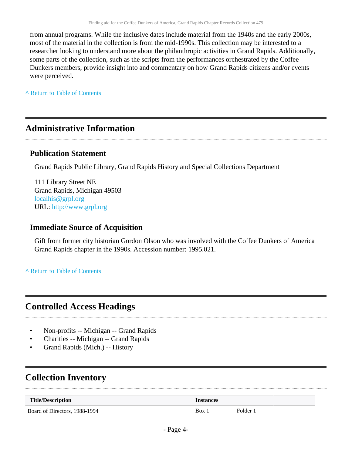from annual programs. While the inclusive dates include material from the 1940s and the early 2000s, most of the material in the collection is from the mid-1990s. This collection may be interested to a researcher looking to understand more about the philanthropic activities in Grand Rapids. Additionally, some parts of the collection, such as the scripts from the performances orchestrated by the Coffee Dunkers members, provide insight into and commentary on how Grand Rapids citizens and/or events were perceived.

**^** [Return to Table of Contents](#page-1-0)

#### <span id="page-3-0"></span>**Administrative Information**

#### **Publication Statement**

Grand Rapids Public Library, Grand Rapids History and Special Collections Department

111 Library Street NE Grand Rapids, Michigan 49503 [localhis@grpl.org](mailto:localhis@grpl.org) URL:<http://www.grpl.org>

#### **Immediate Source of Acquisition**

Gift from former city historian Gordon Olson who was involved with the Coffee Dunkers of America Grand Rapids chapter in the 1990s. Accession number: 1995.021.

**^** [Return to Table of Contents](#page-1-0)

### <span id="page-3-1"></span>**Controlled Access Headings**

- Non-profits -- Michigan -- Grand Rapids
- Charities -- Michigan -- Grand Rapids
- Grand Rapids (Mich.) -- History

## <span id="page-3-2"></span>**Collection Inventory**

| <b>Title/Description</b>      | <i><u><b>Instances</b></u></i> |          |
|-------------------------------|--------------------------------|----------|
| Board of Directors, 1988-1994 | Box 1                          | Folder 1 |